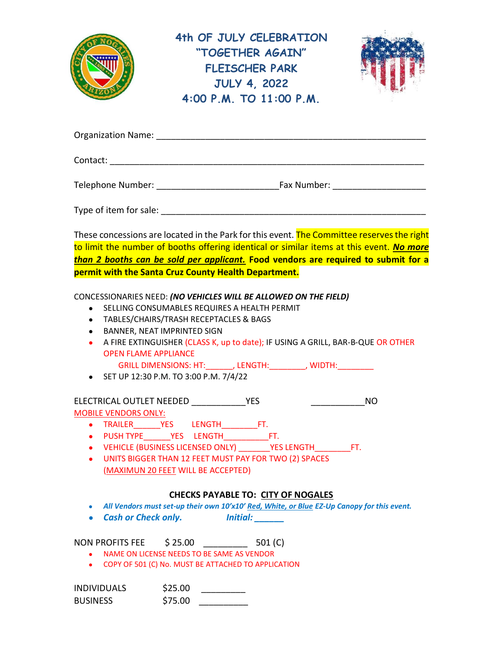

**4th OF JULY CELEBRATION "TOGETHER AGAIN" FLEISCHER PARK JULY 4, 2022 4:00 P.M. TO 11:00 P.M.**



| <b>Organization Name:</b> |             |
|---------------------------|-------------|
| Contact:                  |             |
| Telephone Number:         | Fax Number: |
| Type of item for sale:    |             |

These concessions are located in the Park for this event. The Committee reserves the right to limit the number of booths offering identical or similar items at this event. *No more than 2 booths can be sold per applicant.* **Food vendors are required to submit for a permit with the Santa Cruz County Health Department.**

### CONCESSIONARIES NEED: *(NO VEHICLES WILL BE ALLOWED ON THE FIELD)*

- SELLING CONSUMABLES REQUIRES A HEALTH PERMIT
- TABLES/CHAIRS/TRASH RECEPTACLES & BAGS
- BANNER, NEAT IMPRINTED SIGN
- A FIRE EXTINGUISHER (CLASS K, up to date); IF USING A GRILL, BAR-B-QUE OR OTHER OPEN FLAME APPLIANCE

GRILL DIMENSIONS: HT:\_\_\_\_\_\_, LENGTH:\_\_\_\_\_\_\_\_, WIDTH:\_\_\_\_\_\_\_\_

• SET UP 12:30 P.M. TO 3:00 P.M. 7/4/22

# ELECTRICAL OUTLET NEEDED \_\_\_\_\_\_\_\_\_\_\_YES \_\_\_\_\_\_\_\_\_\_\_NO

MOBILE VENDORS ONLY:

- TRAILER\_\_\_\_\_\_YES LENGTH\_\_\_\_\_\_\_\_FT.
- PUSH TYPE\_\_\_\_\_\_YES LENGTH\_\_\_\_\_\_\_\_\_\_FT.
- VEHICLE (BUSINESS LICENSED ONLY) \_\_\_\_\_\_\_YES LENGTH\_\_\_\_\_\_\_\_FT.
- UNITS BIGGER THAN 12 FEET MUST PAY FOR TWO (2) SPACES (MAXIMUN 20 FEET WILL BE ACCEPTED)

### **CHECKS PAYABLE TO: CITY OF NOGALES**

- *All Vendors must set-up their own 10'x10' Red, White, or Blue EZ-Up Canopy for this event.*
- *Cash or Check only. Initial: \_\_\_\_\_\_*

NON PROFITS FEE  $\frac{25.00}{25.00}$  501 (C)

- NAME ON LICENSE NEEDS TO BE SAME AS VENDOR
- COPY OF 501 (C) No. MUST BE ATTACHED TO APPLICATION

| <b>INDIVIDUALS</b> | \$25.00 |  |
|--------------------|---------|--|
| <b>BUSINESS</b>    | \$75.00 |  |